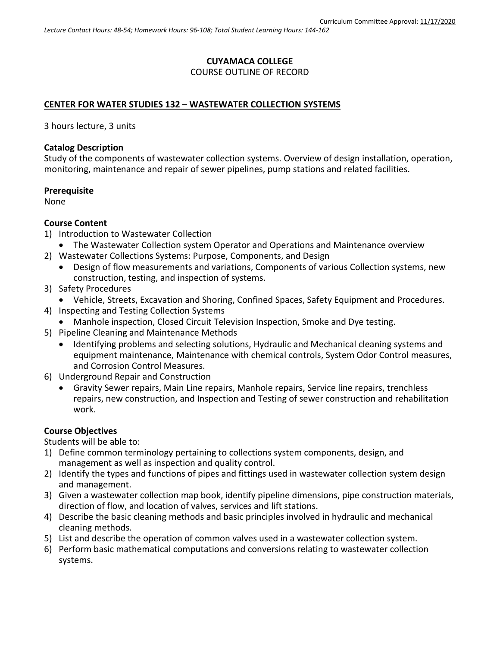# **CUYAMACA COLLEGE** COURSE OUTLINE OF RECORD

### **CENTER FOR WATER STUDIES 132 – WASTEWATER COLLECTION SYSTEMS**

3 hours lecture, 3 units

#### **Catalog Description**

Study of the components of wastewater collection systems. Overview of design installation, operation, monitoring, maintenance and repair of sewer pipelines, pump stations and related facilities.

#### **Prerequisite**

None

### **Course Content**

- 1) Introduction to Wastewater Collection
	- The Wastewater Collection system Operator and Operations and Maintenance overview
- 2) Wastewater Collections Systems: Purpose, Components, and Design
	- Design of flow measurements and variations, Components of various Collection systems, new construction, testing, and inspection of systems.
- 3) Safety Procedures
	- Vehicle, Streets, Excavation and Shoring, Confined Spaces, Safety Equipment and Procedures.
- 4) Inspecting and Testing Collection Systems
	- Manhole inspection, Closed Circuit Television Inspection, Smoke and Dye testing.
- 5) Pipeline Cleaning and Maintenance Methods
	- Identifying problems and selecting solutions, Hydraulic and Mechanical cleaning systems and equipment maintenance, Maintenance with chemical controls, System Odor Control measures, and Corrosion Control Measures.
- 6) Underground Repair and Construction
	- Gravity Sewer repairs, Main Line repairs, Manhole repairs, Service line repairs, trenchless repairs, new construction, and Inspection and Testing of sewer construction and rehabilitation work.

# **Course Objectives**

Students will be able to:

- 1) Define common terminology pertaining to collections system components, design, and management as well as inspection and quality control.
- 2) Identify the types and functions of pipes and fittings used in wastewater collection system design and management.
- 3) Given a wastewater collection map book, identify pipeline dimensions, pipe construction materials, direction of flow, and location of valves, services and lift stations.
- 4) Describe the basic cleaning methods and basic principles involved in hydraulic and mechanical cleaning methods.
- 5) List and describe the operation of common valves used in a wastewater collection system.
- 6) Perform basic mathematical computations and conversions relating to wastewater collection systems.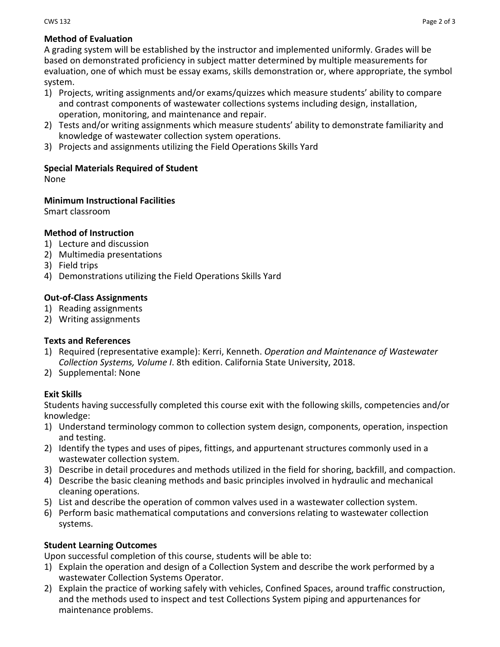# **Method of Evaluation**

A grading system will be established by the instructor and implemented uniformly. Grades will be based on demonstrated proficiency in subject matter determined by multiple measurements for evaluation, one of which must be essay exams, skills demonstration or, where appropriate, the symbol system.

- 1) Projects, writing assignments and/or exams/quizzes which measure students' ability to compare and contrast components of wastewater collections systems including design, installation, operation, monitoring, and maintenance and repair.
- 2) Tests and/or writing assignments which measure students' ability to demonstrate familiarity and knowledge of wastewater collection system operations.
- 3) Projects and assignments utilizing the Field Operations Skills Yard

### **Special Materials Required of Student**

None

### **Minimum Instructional Facilities**

Smart classroom

### **Method of Instruction**

- 1) Lecture and discussion
- 2) Multimedia presentations
- 3) Field trips
- 4) Demonstrations utilizing the Field Operations Skills Yard

### **Out-of-Class Assignments**

- 1) Reading assignments
- 2) Writing assignments

#### **Texts and References**

- 1) Required (representative example): Kerri, Kenneth. *Operation and Maintenance of Wastewater Collection Systems, Volume I*. 8th edition. California State University, 2018.
- 2) Supplemental: None

#### **Exit Skills**

Students having successfully completed this course exit with the following skills, competencies and/or knowledge:

- 1) Understand terminology common to collection system design, components, operation, inspection and testing.
- 2) Identify the types and uses of pipes, fittings, and appurtenant structures commonly used in a wastewater collection system.
- 3) Describe in detail procedures and methods utilized in the field for shoring, backfill, and compaction.
- 4) Describe the basic cleaning methods and basic principles involved in hydraulic and mechanical cleaning operations.
- 5) List and describe the operation of common valves used in a wastewater collection system.
- 6) Perform basic mathematical computations and conversions relating to wastewater collection systems.

# **Student Learning Outcomes**

Upon successful completion of this course, students will be able to:

- 1) Explain the operation and design of a Collection System and describe the work performed by a wastewater Collection Systems Operator.
- 2) Explain the practice of working safely with vehicles, Confined Spaces, around traffic construction, and the methods used to inspect and test Collections System piping and appurtenances for maintenance problems.